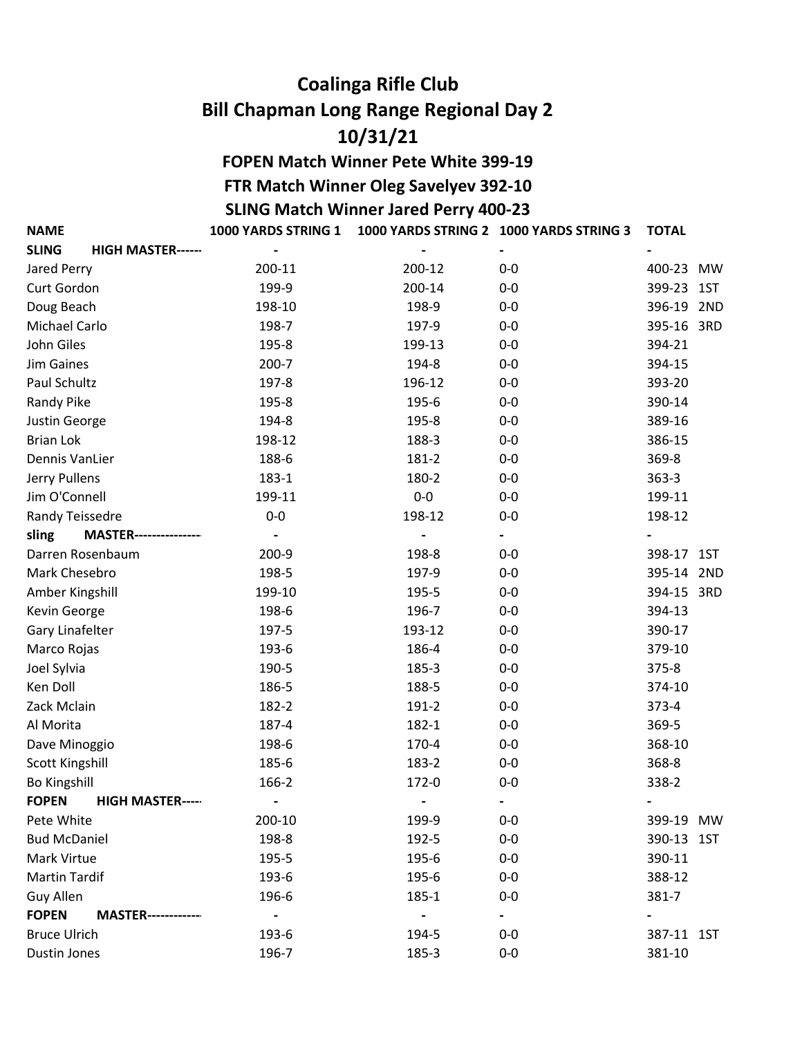## Coalinga Rifle Club Bill Chapman Long Range Regional Day 2 10/31/21

SLING Match Winner Jared Perry 400-23 FOPEN Match Winner Pete White 399-19 FTR Match Winner Oleg Savelyev 392-10

NAME 1000 YARDS STRING 1 1000 YARDS STRING 2 1000 YARDS STRING 3 TOTAL

| <b>SLING</b><br><b>HIGH MASTER------</b>  | $\qquad \qquad \blacksquare$ |        | $\qquad \qquad \blacksquare$ |            |  |
|-------------------------------------------|------------------------------|--------|------------------------------|------------|--|
| Jared Perry                               | 200-11                       | 200-12 | $0-0$                        | 400-23 MW  |  |
| Curt Gordon                               | 199-9                        | 200-14 | $0-0$                        | 399-23 1ST |  |
| Doug Beach                                | 198-10                       | 198-9  | $0-0$                        | 396-19 2ND |  |
| Michael Carlo                             | 198-7                        | 197-9  | $0-0$                        | 395-16 3RD |  |
| John Giles                                | 195-8                        | 199-13 | $0-0$                        | 394-21     |  |
| Jim Gaines                                | $200 - 7$                    | 194-8  | $0-0$                        | 394-15     |  |
| Paul Schultz                              | 197-8                        | 196-12 | $0-0$                        | 393-20     |  |
| Randy Pike                                | 195-8                        | 195-6  | $0-0$                        | 390-14     |  |
| Justin George                             | 194-8                        | 195-8  | $0-0$                        | 389-16     |  |
| <b>Brian Lok</b>                          | 198-12                       | 188-3  | $0-0$                        | 386-15     |  |
| Dennis VanLier                            | 188-6                        | 181-2  | $0-0$                        | 369-8      |  |
| Jerry Pullens                             | 183-1                        | 180-2  | $0-0$                        | $363 - 3$  |  |
| Jim O'Connell                             | 199-11                       | $0-0$  | $0-0$                        | 199-11     |  |
| Randy Teissedre                           | $0-0$                        | 198-12 | $0-0$                        | 198-12     |  |
| <b>MASTER---------------</b><br>sling     |                              |        |                              |            |  |
| Darren Rosenbaum                          | 200-9                        | 198-8  | $0-0$                        | 398-17 1ST |  |
| Mark Chesebro                             | 198-5                        | 197-9  | $0-0$                        | 395-14 2ND |  |
| Amber Kingshill                           | 199-10                       | 195-5  | $0-0$                        | 394-15 3RD |  |
| Kevin George                              | 198-6                        | 196-7  | $0-0$                        | 394-13     |  |
| Gary Linafelter                           | 197-5                        | 193-12 | $0-0$                        | 390-17     |  |
| Marco Rojas                               | 193-6                        | 186-4  | $0-0$                        | 379-10     |  |
| Joel Sylvia                               | 190-5                        | 185-3  | $0-0$                        | $375 - 8$  |  |
| Ken Doll                                  | 186-5                        | 188-5  | $0-0$                        | 374-10     |  |
| Zack Mclain                               | 182-2                        | 191-2  | $0-0$                        | $373 - 4$  |  |
| Al Morita                                 | 187-4                        | 182-1  | $0-0$                        | 369-5      |  |
| Dave Minoggio                             | 198-6                        | 170-4  | $0-0$                        | 368-10     |  |
| Scott Kingshill                           | 185-6                        | 183-2  | $0-0$                        | 368-8      |  |
| <b>Bo Kingshill</b>                       | 166-2                        | 172-0  | $0-0$                        | 338-2      |  |
| <b>FOPEN</b><br><b>HIGH MASTER-----</b>   |                              |        |                              |            |  |
| Pete White                                | 200-10                       | 199-9  | $0-0$                        | 399-19 MW  |  |
| <b>Bud McDaniel</b>                       | 198-8                        | 192-5  | $0-0$                        | 390-13 1ST |  |
| Mark Virtue                               | 195-5                        | 195-6  | $0-0$                        | 390-11     |  |
| <b>Martin Tardif</b>                      | 193-6                        | 195-6  | $0-0$                        | 388-12     |  |
| Guy Allen                                 | 196-6                        | 185-1  | $0-0$                        | $381 - 7$  |  |
| <b>FOPEN</b><br><b>MASTER------------</b> |                              |        | $\sim$                       |            |  |
| <b>Bruce Ulrich</b>                       | 193-6                        | 194-5  | $0-0$                        | 387-11 1ST |  |
| Dustin Jones                              | 196-7                        | 185-3  | $0-0$                        | 381-10     |  |